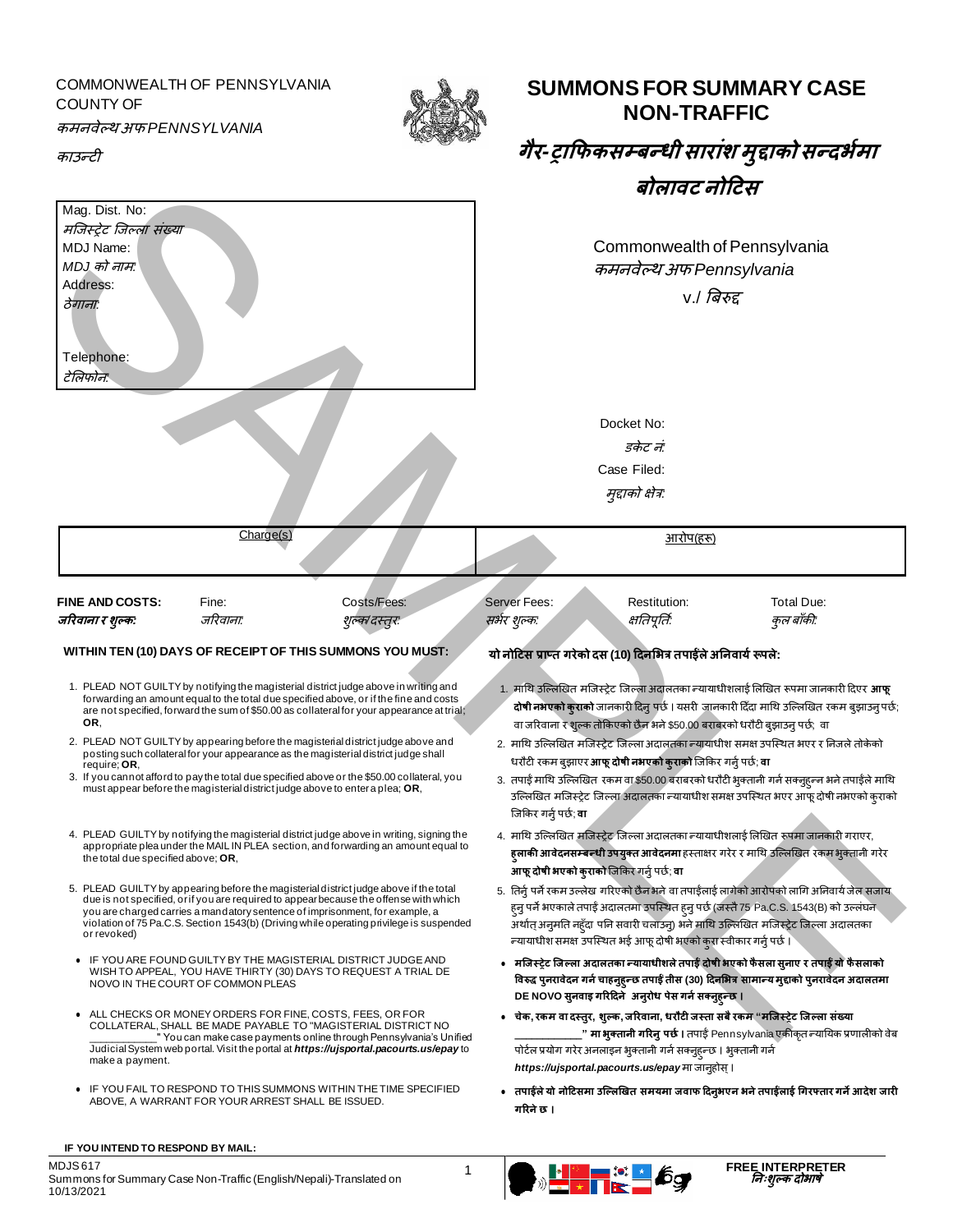## COMMONWEALTH OF PENNSYLVANIA COUNTY OF कमनवेल्थ अफ *PENNSYLVANIA*



**SUMMONS FOR SUMMARY CASE NON-TRAFFIC**

| काउन्टी                                                                                       |                                   |                                                                                                                                                                                                                                                                                                                                                           | गैर-ट्राफिकसम्बन्धी सारांश मुद्दाको सन्दर्भमा                           |                                                                                                                                             |                                                                                                                                                                                                                                                                             |  |
|-----------------------------------------------------------------------------------------------|-----------------------------------|-----------------------------------------------------------------------------------------------------------------------------------------------------------------------------------------------------------------------------------------------------------------------------------------------------------------------------------------------------------|-------------------------------------------------------------------------|---------------------------------------------------------------------------------------------------------------------------------------------|-----------------------------------------------------------------------------------------------------------------------------------------------------------------------------------------------------------------------------------------------------------------------------|--|
|                                                                                               |                                   |                                                                                                                                                                                                                                                                                                                                                           |                                                                         | बोलावट नोटिस                                                                                                                                |                                                                                                                                                                                                                                                                             |  |
| Mag. Dist. No:<br>मजिस्ट्रेट जिल्ला संख्या<br>MDJ Name:<br>MDJ को नाम:<br>Address:<br>ठेगानाः |                                   |                                                                                                                                                                                                                                                                                                                                                           | Commonwealth of Pennsylvania<br>कमनवेल्थ अफ Pennsylvania<br>v./ बिरुद्द |                                                                                                                                             |                                                                                                                                                                                                                                                                             |  |
| Telephone:<br>टेलिफोन:                                                                        |                                   |                                                                                                                                                                                                                                                                                                                                                           |                                                                         |                                                                                                                                             |                                                                                                                                                                                                                                                                             |  |
|                                                                                               |                                   |                                                                                                                                                                                                                                                                                                                                                           |                                                                         | Docket No:                                                                                                                                  |                                                                                                                                                                                                                                                                             |  |
|                                                                                               |                                   |                                                                                                                                                                                                                                                                                                                                                           |                                                                         | डकेट नं:                                                                                                                                    |                                                                                                                                                                                                                                                                             |  |
|                                                                                               |                                   |                                                                                                                                                                                                                                                                                                                                                           |                                                                         | Case Filed:                                                                                                                                 |                                                                                                                                                                                                                                                                             |  |
|                                                                                               |                                   |                                                                                                                                                                                                                                                                                                                                                           |                                                                         | मुद्दाको क्षेत्र:                                                                                                                           |                                                                                                                                                                                                                                                                             |  |
|                                                                                               | Charge(s)                         |                                                                                                                                                                                                                                                                                                                                                           |                                                                         | <u>आरोप(हरू)</u>                                                                                                                            |                                                                                                                                                                                                                                                                             |  |
|                                                                                               |                                   |                                                                                                                                                                                                                                                                                                                                                           |                                                                         |                                                                                                                                             |                                                                                                                                                                                                                                                                             |  |
| <b>FINE AND COSTS:</b><br>जरिवाना र शुल्क:                                                    | Fine:<br>जरिवाना:                 | Costs/Fees:<br>शुल्क/दस्तुरः                                                                                                                                                                                                                                                                                                                              | <b>Server Fees:</b><br>सभर शुल्कः                                       | Restitution:<br>क्षतिपूर्तिः                                                                                                                | Total Due:<br>कुल बाँकी:                                                                                                                                                                                                                                                    |  |
| OR.                                                                                           |                                   | WITHIN TEN (10) DAYS OF RECEIPT OF THIS SUMMONS YOU MUST:<br>1. PLEAD NOT GUILTY by notifying the magisterial district judge above in writing and<br>forwarding an amount equal to the total due specified above, or if the fine and costs<br>are not specified, forward the sum of \$50.00 as collateral for your appearance at trial;                   |                                                                         | यो नोटिस प्राप्त गरेको दस (10) दिनभित्र तपाईले अनिवार्य रूपले:<br>वा जरिवाना र शुल्क तोकिएको छैन भने \$50.00 बराबरको धरौटी बुझाउनु पर्छ; वा | 1. माथि उल्लिखित मजिस्ट्रेट जिल्ला अदालतका न्यायाधीशलाई लिखित रूपमा जानकारी दिएर आफू<br>दोषी नभएको कुराको जानकारी दिनु पर्छ । यसरी जानकारी दिँदा माथि उल्लिखित रकम बुझाउनु पर्छ;                                                                                            |  |
| require; OR,                                                                                  |                                   | 2. PLEAD NOT GUILTY by appearing before the magisterial district judge above and<br>posting such collateral for your appearance as the magisterial district judge shall<br>3. If you cannot afford to pay the total due specified above or the \$50.00 collateral, you<br>must appear before the magisterial district judge above to enter a plea; $OR$ , |                                                                         | धरौटी रकम बुझाएर <b>आफू दोषी नभएको कुराको</b> जिकिर गर्नु पर्छ; <b>वा</b>                                                                   | 2. माथि उल्लिखित मजिस्ट्रेट जिल्ला अदालतका न्यायाधीश समक्ष उपस्थित भएर र निजले तोकेको<br>3. तपाई माथि उल्लिखित रकम वा \$50.00 बराबरको धरौटी भुक्तानी गर्न सक्नुहन्न भने तपाईले माथि<br>उल्लिखित मजिस्ट्रेट जिल्ला अदालतका न्यायाधीश समक्ष उपस्थित भएर आफू दोषी नभएको कुराको |  |
| the total due specified above; OR,                                                            |                                   | 4. PLEAD GUILTY by notifying the magisterial district judge above in writing, signing the<br>appropriate plea under the MAIL IN PLEA section, and forwarding an amount equal to                                                                                                                                                                           | जिकिर गर्नु पर्छ; <b>वा</b>                                             |                                                                                                                                             | 4. माथि उल्लिखित मजिस्ट्रेट जिल्ला अदालतका न्यायाधीशलाई लिखित रूपमा जानकारी गराएर<br>ह्लाकी आवेदनसम्बन्धी उपयुक्त आवेदनमा हस्ताक्षर गरेर र माथि उल्लिखित रकम भुक्तानी गरेर                                                                                                  |  |
| or revoked)                                                                                   |                                   | 5. PLEAD GUILTY by appearing before the magisterial district judge above if the total<br>due is not specified, or if you are required to appear because the offense with which<br>you are charged carries a mandatory sentence of imprisonment, for example, a<br>violation of 75 Pa.C.S. Section 1543(b) (Driving while operating privilege is suspended |                                                                         | आफू दोषी भएको कुराको जिकिर गर्नु पर्छ; वा                                                                                                   | 5. तिर्नु पर्ने रकम उल्लेख गरिएको छैन भने वा तपाईलाई लागेको आरोपको लागि अनिवार्य जेल सजाय<br>ह्नु पर्ने भएकाले तपाई अदालतमा उपस्थित ह्नु पर्छ (जस्तै 75 Pa.C.S. 1543(B) को उल्लंघन<br>अर्थात् अनुमति नहुँदा पनि सवारी चलाउन्) भने माथि उल्लिखित मजिस्ट्रेट जिल्ला अदालतका   |  |
|                                                                                               | NOVO IN THE COURT OF COMMON PLEAS | • IF YOU ARE FOUND GUILTY BY THE MAGISTERIAL DISTRICT JUDGE AND<br>WISH TO APPEAL, YOU HAVE THIRTY (30) DAYS TO REQUEST A TRIAL DE                                                                                                                                                                                                                        |                                                                         | न्यायाधीश समक्ष उपस्थित भई आफू दोषी भएको कुरा स्वीकार गर्नु पर्छ।<br>DE NOVO सुनवाइ गरिदिने अनुरोध पेस गर्न सक्नुहून्छ ।                    | • मजिस्ट्रेट जिल्ला अदालतका न्यायाधीशले तपाईं दोषी भएको फैसला सुनाए र तपाईं यो फैसलाको<br>विरुद्ध पुनरावेदन गर्न चाहनुह्न्छ तपाई तीस (30) दिनभित्र सामान्य मुद्दाको पुनरावेदन अदालतमा                                                                                       |  |
| make a payment.                                                                               |                                   | • ALL CHECKS OR MONEY ORDERS FOR FINE, COSTS, FEES, OR FOR<br>COLLATERAL, SHALL BE MADE PAYABLE TO "MAGISTERIAL DISTRICT NO<br>"You can make case payments online through Pennsylvania's Unified<br>Judicial System web portal. Visit the portal at <i>https://ujsportal.pacourts.us/epay</i> to                                                          |                                                                         | पोर्टल प्रयोग गरेर अनलाइन भुक्तानी गर्न सक्नुह्न्छ । भुक्तानी गर्न                                                                          | चेक, रकम वा दस्तुर, शुल्क, जरिवाना, धरौटी जस्ता सबै रकम "मजिस्ट्रेट जिल्ला संख्या<br><mark>." मा भुक्तानी गरिन् पर्छ ।</mark> तपाई Pennsylvania एकीकृत न्यायिक प्रणालीको वेब                                                                                                |  |

10/13/2021